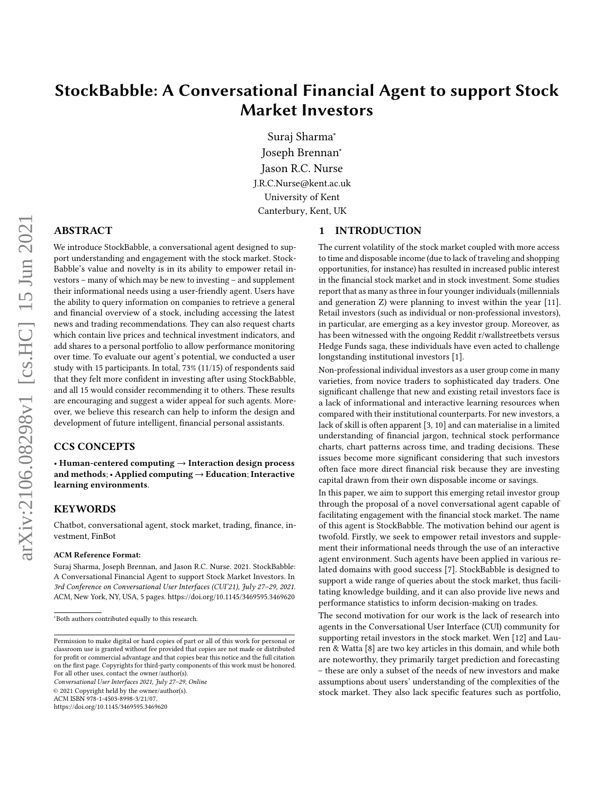# StockBabble: A Conversational Financial Agent to support Stock Market Investors

Suraj Sharma<sup>∗</sup> Joseph Brennan<sup>∗</sup> Jason R.C. Nurse J.R.C.Nurse@kent.ac.uk University of Kent Canterbury, Kent, UK

### <span id="page-0-0"></span>1 INTRODUCTION

ABSTRACT

We introduce StockBabble, a conversational agent designed to support understanding and engagement with the stock market. Stock-Babble's value and novelty is in its ability to empower retail investors – many of which may be new to investing – and supplement their informational needs using a user-friendly agent. Users have the ability to query information on companies to retrieve a general and financial overview of a stock, including accessing the latest news and trading recommendations. They can also request charts which contain live prices and technical investment indicators, and add shares to a personal portfolio to allow performance monitoring over time. To evaluate our agent's potential, we conducted a user study with 15 participants. In total, 73% (11/15) of respondents said that they felt more confident in investing after using StockBabble, and all 15 would consider recommending it to others. These results are encouraging and suggest a wider appeal for such agents. Moreover, we believe this research can help to inform the design and development of future intelligent, financial personal assistants.

# CCS CONCEPTS

• Human-centered computing → Interaction design process and methods;  $\cdot$  Applied computing  $\rightarrow$  Education; Interactive learning environments.

#### KEYWORDS

Chatbot, conversational agent, stock market, trading, finance, investment, FinBot

#### ACM Reference Format:

Suraj Sharma, Joseph Brennan, and Jason R.C. Nurse. 2021. StockBabble: A Conversational Financial Agent to support Stock Market Investors. In 3rd Conference on Conversational User Interfaces (CUI'21), July 27–29, 2021. ACM, New York, NY, USA, [5](#page-4-0) pages.<https://doi.org/10.1145/3469595.3469620>

Conversational User Interfaces 2021, July 27–29, Online

© 2021 Copyright held by the owner/author(s).

ACM ISBN 978-1-4503-8998-3/21/07.

<https://doi.org/10.1145/3469595.3469620>

The current volatility of the stock market coupled with more access to time and disposable income (due to lack of traveling and shopping opportunities, for instance) has resulted in increased public interest in the financial stock market and in stock investment. Some studies report that as many as three in four younger individuals (millennials and generation Z) were planning to invest within the year [\[11\]](#page-4-1). Retail investors (such as individual or non-professional investors), in particular, are emerging as a key investor group. Moreover, as has been witnessed with the ongoing Reddit r/wallstreetbets versus Hedge Funds saga, these individuals have even acted to challenge longstanding institutional investors [\[1\]](#page-4-2).

Non-professional individual investors as a user group come in many varieties, from novice traders to sophisticated day traders. One significant challenge that new and existing retail investors face is a lack of informational and interactive learning resources when compared with their institutional counterparts. For new investors, a lack of skill is often apparent [\[3,](#page-4-3) [10\]](#page-4-4) and can materialise in a limited understanding of financial jargon, technical stock performance charts, chart patterns across time, and trading decisions. These issues become more significant considering that such investors often face more direct financial risk because they are investing capital drawn from their own disposable income or savings.

In this paper, we aim to support this emerging retail investor group through the proposal of a novel conversational agent capable of facilitating engagement with the financial stock market. The name of this agent is StockBabble. The motivation behind our agent is twofold. Firstly, we seek to empower retail investors and supplement their informational needs through the use of an interactive agent environment. Such agents have been applied in various related domains with good success [\[7\]](#page-4-5). StockBabble is designed to support a wide range of queries about the stock market, thus facilitating knowledge building, and it can also provide live news and performance statistics to inform decision-making on trades.

The second motivation for our work is the lack of research into agents in the Conversational User Interface (CUI) community for supporting retail investors in the stock market. Wen [\[12\]](#page-4-6) and Lauren & Watta [\[8\]](#page-4-7) are two key articles in this domain, and while both are noteworthy, they primarily target prediction and forecasting – these are only a subset of the needs of new investors and make assumptions about users' understanding of the complexities of the stock market. They also lack specific features such as portfolio,

<sup>∗</sup>Both authors contributed equally to this research.

Permission to make digital or hard copies of part or all of this work for personal or classroom use is granted without fee provided that copies are not made or distributed for profit or commercial advantage and that copies bear this notice and the full citation on the first page. Copyrights for third-party components of this work must be honored. For all other uses, contact the owner/author(s).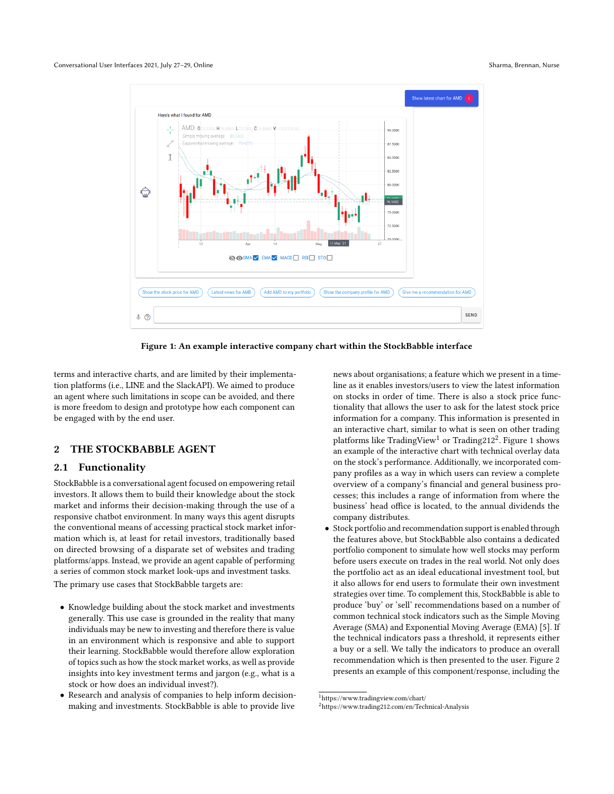<span id="page-1-2"></span>

Figure 1: An example interactive company chart within the StockBabble interface

terms and interactive charts, and are limited by their implementation platforms (i.e., LINE and the SlackAPI). We aimed to produce an agent where such limitations in scope can be avoided, and there is more freedom to design and prototype how each component can be engaged with by the end user.

# 2 THE STOCKBABBLE AGENT

#### 2.1 Functionality

StockBabble is a conversational agent focused on empowering retail investors. It allows them to build their knowledge about the stock market and informs their decision-making through the use of a responsive chatbot environment. In many ways this agent disrupts the conventional means of accessing practical stock market information which is, at least for retail investors, traditionally based on directed browsing of a disparate set of websites and trading platforms/apps. Instead, we provide an agent capable of performing a series of common stock market look-ups and investment tasks.

The primary use cases that StockBabble targets are:

- Knowledge building about the stock market and investments generally. This use case is grounded in the reality that many individuals may be new to investing and therefore there is value in an environment which is responsive and able to support their learning. StockBabble would therefore allow exploration of topics such as how the stock market works, as well as provide insights into key investment terms and jargon (e.g., what is a stock or how does an individual invest?).
- Research and analysis of companies to help inform decisionmaking and investments. StockBabble is able to provide live

news about organisations; a feature which we present in a timeline as it enables investors/users to view the latest information on stocks in order of time. There is also a stock price functionality that allows the user to ask for the latest stock price information for a company. This information is presented in an interactive chart, similar to what is seen on other trading platforms like TradingView $^1$  $^1$  or Trading[2](#page-1-1)12 $^2$ . Figure [1](#page-1-2) shows an example of the interactive chart with technical overlay data on the stock's performance. Additionally, we incorporated company profiles as a way in which users can review a complete overview of a company's financial and general business processes; this includes a range of information from where the business' head office is located, to the annual dividends the company distributes.

• Stock portfolio and recommendation support is enabled through the features above, but StockBabble also contains a dedicated portfolio component to simulate how well stocks may perform before users execute on trades in the real world. Not only does the portfolio act as an ideal educational investment tool, but it also allows for end users to formulate their own investment strategies over time. To complement this, StockBabble is able to produce 'buy' or 'sell' recommendations based on a number of common technical stock indicators such as the Simple Moving Average (SMA) and Exponential Moving Average (EMA) [\[5\]](#page-4-8). If the technical indicators pass a threshold, it represents either a buy or a sell. We tally the indicators to produce an overall recommendation which is then presented to the user. Figure [2](#page-2-0) presents an example of this component/response, including the

<span id="page-1-0"></span> $^{\rm 1}$ https://www.tradingview.com/chart/

<span id="page-1-1"></span><sup>2</sup>https://www.trading212.com/en/Technical-Analysis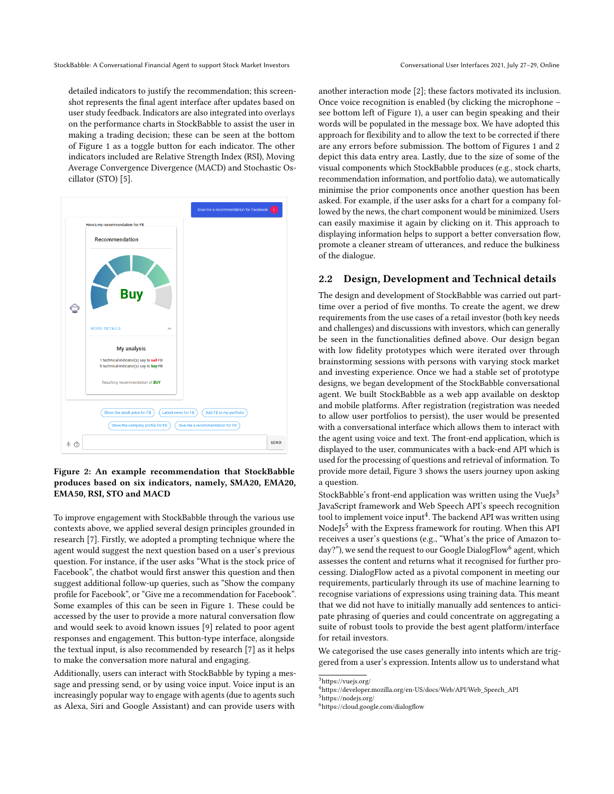detailed indicators to justify the recommendation; this screenshot represents the final agent interface after updates based on user study feedback. Indicators are also integrated into overlays on the performance charts in StockBabble to assist the user in making a trading decision; these can be seen at the bottom of Figure [1](#page-1-2) as a toggle button for each indicator. The other indicators included are Relative Strength Index (RSI), Moving Average Convergence Divergence (MACD) and Stochastic Oscillator (STO) [\[5\]](#page-4-8).

<span id="page-2-0"></span>

#### Figure 2: An example recommendation that StockBabble produces based on six indicators, namely, SMA20, EMA20, EMA50, RSI, STO and MACD

To improve engagement with StockBabble through the various use contexts above, we applied several design principles grounded in research [\[7\]](#page-4-5). Firstly, we adopted a prompting technique where the agent would suggest the next question based on a user's previous question. For instance, if the user asks "What is the stock price of Facebook", the chatbot would first answer this question and then suggest additional follow-up queries, such as "Show the company profile for Facebook", or "Give me a recommendation for Facebook". Some examples of this can be seen in Figure [1.](#page-1-2) These could be accessed by the user to provide a more natural conversation flow and would seek to avoid known issues [\[9\]](#page-4-9) related to poor agent responses and engagement. This button-type interface, alongside the textual input, is also recommended by research [\[7\]](#page-4-5) as it helps to make the conversation more natural and engaging.

Additionally, users can interact with StockBabble by typing a message and pressing send, or by using voice input. Voice input is an increasingly popular way to engage with agents (due to agents such as Alexa, Siri and Google Assistant) and can provide users with

another interaction mode [\[2\]](#page-4-10); these factors motivated its inclusion. Once voice recognition is enabled (by clicking the microphone – see bottom left of Figure [1\)](#page-1-2), a user can begin speaking and their words will be populated in the message box. We have adopted this approach for flexibility and to allow the text to be corrected if there are any errors before submission. The bottom of Figures [1](#page-1-2) and [2](#page-2-0) depict this data entry area. Lastly, due to the size of some of the visual components which StockBabble produces (e.g., stock charts, recommendation information, and portfolio data), we automatically minimise the prior components once another question has been asked. For example, if the user asks for a chart for a company followed by the news, the chart component would be minimized. Users can easily maximise it again by clicking on it. This approach to displaying information helps to support a better conversation flow, promote a cleaner stream of utterances, and reduce the bulkiness of the dialogue.

#### 2.2 Design, Development and Technical details

The design and development of StockBabble was carried out parttime over a period of five months. To create the agent, we drew requirements from the use cases of a retail investor (both key needs and challenges) and discussions with investors, which can generally be seen in the functionalities defined above. Our design began with low fidelity prototypes which were iterated over through brainstorming sessions with persons with varying stock market and investing experience. Once we had a stable set of prototype designs, we began development of the StockBabble conversational agent. We built StockBabble as a web app available on desktop and mobile platforms. After registration (registration was needed to allow user portfolios to persist), the user would be presented with a conversational interface which allows them to interact with the agent using voice and text. The front-end application, which is displayed to the user, communicates with a back-end API which is used for the processing of questions and retrieval of information. To provide more detail, Figure [3](#page-3-0) shows the users journey upon asking a question.

StockBabble's front-end application was written using the VueJs $3$ JavaScript framework and Web Speech API's speech recognition tool to implement voice input $\rm ^4$  $\rm ^4$ . The backend API was written using NodeJs<sup>[5](#page-2-3)</sup> with the Express framework for routing. When this API receives a user's questions (e.g., "What's the price of Amazon to-day?"), we send the request to our Google DialogFlow<sup>[6](#page-2-4)</sup> agent, which assesses the content and returns what it recognised for further processing. DialogFlow acted as a pivotal component in meeting our requirements, particularly through its use of machine learning to recognise variations of expressions using training data. This meant that we did not have to initially manually add sentences to anticipate phrasing of queries and could concentrate on aggregating a suite of robust tools to provide the best agent platform/interface for retail investors.

We categorised the use cases generally into intents which are triggered from a user's expression. Intents allow us to understand what

<span id="page-2-1"></span><sup>3</sup>https://vuejs.org/

<span id="page-2-2"></span><sup>4</sup>https://developer.mozilla.org/en-US/docs/Web/API/Web\_Speech\_API

<span id="page-2-3"></span><sup>5</sup>https://nodejs.org/

<span id="page-2-4"></span><sup>6</sup>https://cloud.google.com/dialogflow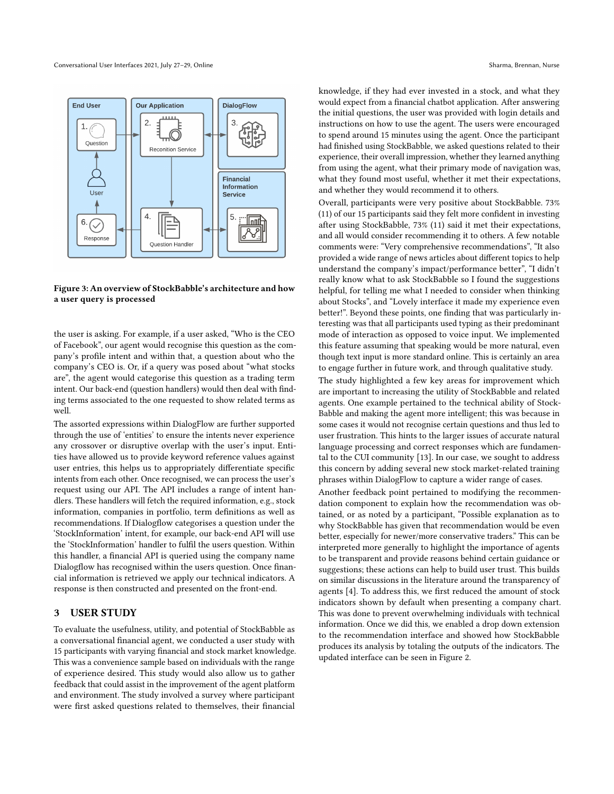<span id="page-3-0"></span>

#### Figure 3: An overview of StockBabble's architecture and how a user query is processed

the user is asking. For example, if a user asked, "Who is the CEO of Facebook", our agent would recognise this question as the company's profile intent and within that, a question about who the company's CEO is. Or, if a query was posed about "what stocks are", the agent would categorise this question as a trading term intent. Our back-end (question handlers) would then deal with finding terms associated to the one requested to show related terms as well.

The assorted expressions within DialogFlow are further supported through the use of 'entities' to ensure the intents never experience any crossover or disruptive overlap with the user's input. Entities have allowed us to provide keyword reference values against user entries, this helps us to appropriately differentiate specific intents from each other. Once recognised, we can process the user's request using our API. The API includes a range of intent handlers. These handlers will fetch the required information, e.g., stock information, companies in portfolio, term definitions as well as recommendations. If Dialogflow categorises a question under the 'StockInformation' intent, for example, our back-end API will use the 'StockInformation' handler to fulfil the users question. Within this handler, a financial API is queried using the company name Dialogflow has recognised within the users question. Once financial information is retrieved we apply our technical indicators. A response is then constructed and presented on the front-end.

### 3 USER STUDY

To evaluate the usefulness, utility, and potential of StockBabble as a conversational financial agent, we conducted a user study with 15 participants with varying financial and stock market knowledge. This was a convenience sample based on individuals with the range of experience desired. This study would also allow us to gather feedback that could assist in the improvement of the agent platform and environment. The study involved a survey where participant were first asked questions related to themselves, their financial

knowledge, if they had ever invested in a stock, and what they would expect from a financial chatbot application. After answering the initial questions, the user was provided with login details and instructions on how to use the agent. The users were encouraged to spend around 15 minutes using the agent. Once the participant had finished using StockBabble, we asked questions related to their experience, their overall impression, whether they learned anything from using the agent, what their primary mode of navigation was, what they found most useful, whether it met their expectations, and whether they would recommend it to others.

Overall, participants were very positive about StockBabble. 73% (11) of our 15 participants said they felt more confident in investing after using StockBabble, 73% (11) said it met their expectations, and all would consider recommending it to others. A few notable comments were: "Very comprehensive recommendations", "It also provided a wide range of news articles about different topics to help understand the company's impact/performance better", "I didn't really know what to ask StockBabble so I found the suggestions helpful, for telling me what I needed to consider when thinking about Stocks", and "Lovely interface it made my experience even better!". Beyond these points, one finding that was particularly interesting was that all participants used typing as their predominant mode of interaction as opposed to voice input. We implemented this feature assuming that speaking would be more natural, even though text input is more standard online. This is certainly an area to engage further in future work, and through qualitative study.

The study highlighted a few key areas for improvement which are important to increasing the utility of StockBabble and related agents. One example pertained to the technical ability of Stock-Babble and making the agent more intelligent; this was because in some cases it would not recognise certain questions and thus led to user frustration. This hints to the larger issues of accurate natural language processing and correct responses which are fundamental to the CUI community [\[13\]](#page-4-11). In our case, we sought to address this concern by adding several new stock market-related training phrases within DialogFlow to capture a wider range of cases.

Another feedback point pertained to modifying the recommendation component to explain how the recommendation was obtained, or as noted by a participant, "Possible explanation as to why StockBabble has given that recommendation would be even better, especially for newer/more conservative traders." This can be interpreted more generally to highlight the importance of agents to be transparent and provide reasons behind certain guidance or suggestions; these actions can help to build user trust. This builds on similar discussions in the literature around the transparency of agents [\[4\]](#page-4-12). To address this, we first reduced the amount of stock indicators shown by default when presenting a company chart. This was done to prevent overwhelming individuals with technical information. Once we did this, we enabled a drop down extension to the recommendation interface and showed how StockBabble produces its analysis by totaling the outputs of the indicators. The updated interface can be seen in Figure [2.](#page-2-0)